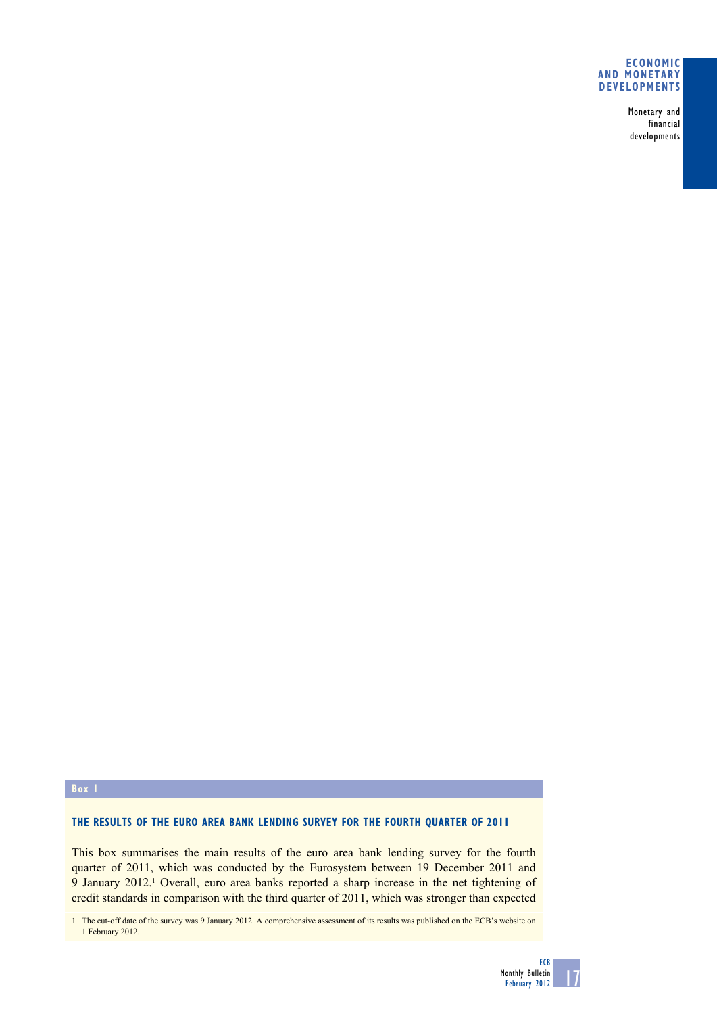Monetary and financial developments

# **box 1**

# **ThE rESUlTS OF ThE EUrO ArEA bANK lENdINg SUrvEy FOr ThE FOUrTh qUArTEr OF 2011**

This box summarises the main results of the euro area bank lending survey for the fourth quarter of 2011, which was conducted by the Eurosystem between 19 December 2011 and 9 January 2012.<sup>1</sup> Overall, euro area banks reported a sharp increase in the net tightening of credit standards in comparison with the third quarter of 2011, which was stronger than expected

1 The cut-off date of the survey was 9 January 2012. A comprehensive assessment of its results was published on the ECB's website on 1 February 2012.

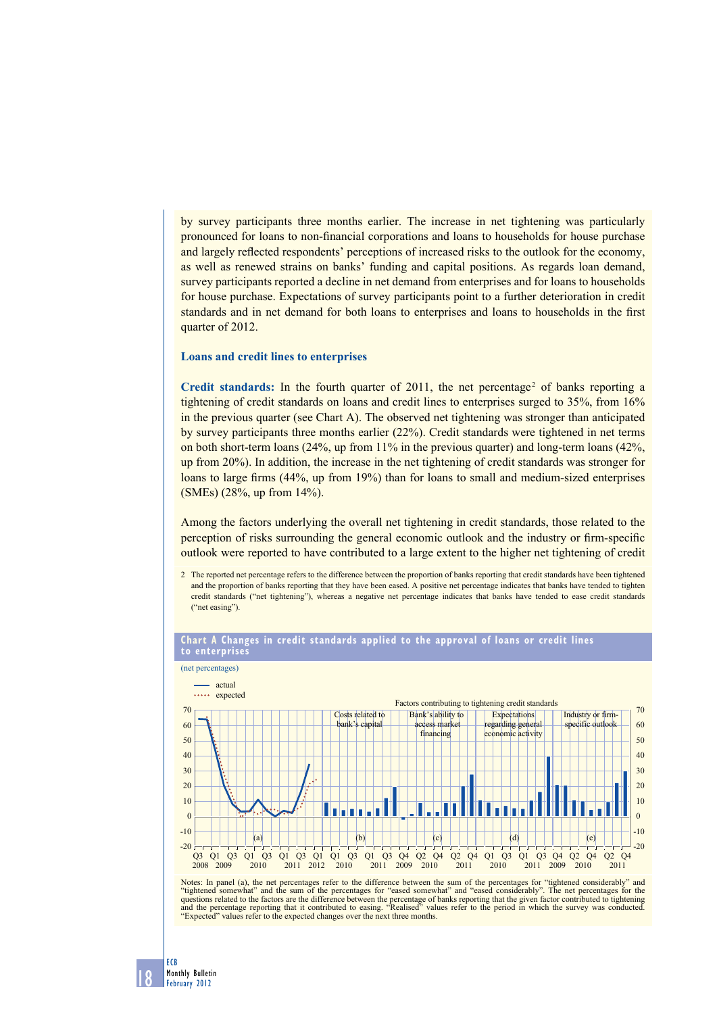by survey participants three months earlier. The increase in net tightening was particularly pronounced for loans to non-financial corporations and loans to households for house purchase and largely reflected respondents' perceptions of increased risks to the outlook for the economy, as well as renewed strains on banks' funding and capital positions. As regards loan demand, survey participants reported a decline in net demand from enterprises and for loans to households for house purchase. Expectations of survey participants point to a further deterioration in credit standards and in net demand for both loans to enterprises and loans to households in the first quarter of 2012.

#### **Loans and credit lines to enterprises**

Credit standards: In the fourth quarter of  $2011$ , the net percentage<sup>2</sup> of banks reporting a tightening of credit standards on loans and credit lines to enterprises surged to 35%, from 16% in the previous quarter (see Chart A). The observed net tightening was stronger than anticipated by survey participants three months earlier (22%). Credit standards were tightened in net terms on both short-term loans  $(24\%$ , up from 11% in the previous quarter) and long-term loans  $(42\%$ , up from 20%). In addition, the increase in the net tightening of credit standards was stronger for loans to large firms (44%, up from 19%) than for loans to small and medium-sized enterprises (SMEs) (28%, up from 14%).

Among the factors underlying the overall net tightening in credit standards, those related to the perception of risks surrounding the general economic outlook and the industry or firm-specific outlook were reported to have contributed to a large extent to the higher net tightening of credit

2 The reported net percentage refers to the difference between the proportion of banks reporting that credit standards have been tightened and the proportion of banks reporting that they have been eased. A positive net percentage indicates that banks have tended to tighten credit standards ("net tightening"), whereas a negative net percentage indicates that banks have tended to ease credit standards ("net easing")



#### **Chart A Changes in credit standards applied to the approval of loans or credit lines to enterprises**

Notes: In panel (a), the net percentages refer to the difference between the sum of the percentages for "tightened considerably" and "tightened somewhat" and "eased somewhat" and "eased somewhat" and "eased somewhat" and " "Expected" values refer to the expected changes over the next three months.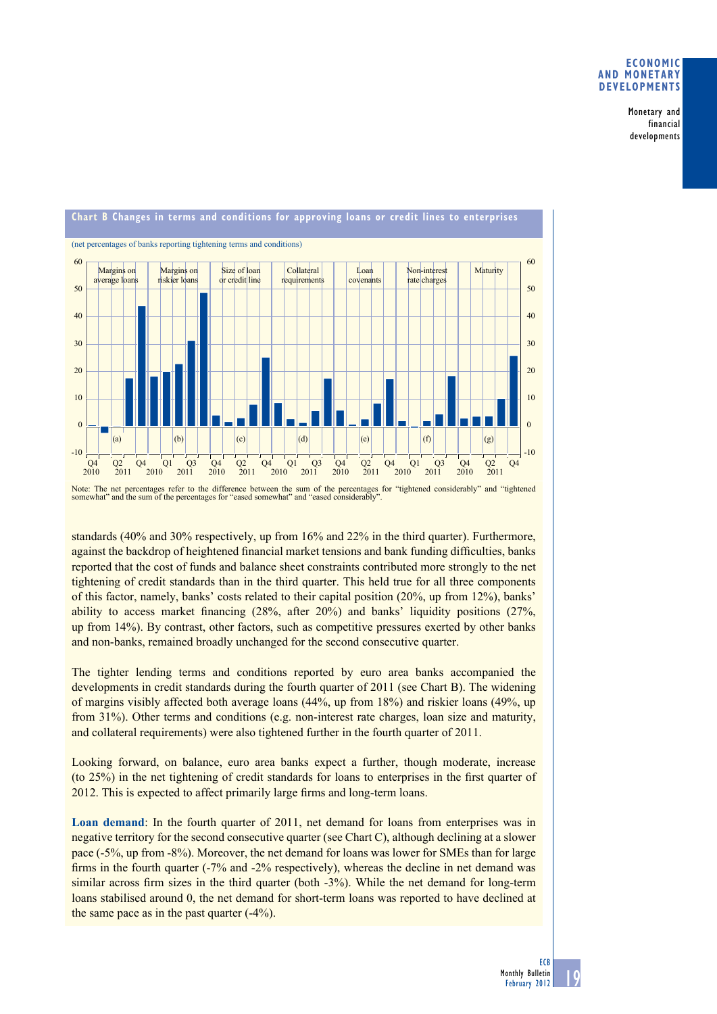Monetary and financial developments



Note: The net percentages refer to the difference between the sum of the percentages for "tightened considerably" and "tightened somewhat" and the sum of the percentages for "eased somewhat" and "eased considerably".

standards (40% and 30% respectively, up from 16% and 22% in the third quarter). Furthermore, against the backdrop of heightened financial market tensions and bank funding difficulties, banks reported that the cost of funds and balance sheet constraints contributed more strongly to the net tightening of credit standards than in the third quarter. This held true for all three components of this factor, namely, banks' costs related to their capital position (20%, up from 12%), banks' ability to access market financing  $(28\%$ , after  $20\%)$  and banks' liquidity positions  $(27\%$ , up from 14%). By contrast, other factors, such as competitive pressures exerted by other banks and non-banks, remained broadly unchanged for the second consecutive quarter.

The tighter lending terms and conditions reported by euro area banks accompanied the developments in credit standards during the fourth quarter of 2011 (see Chart B). The widening of margins visibly affected both average loans (44%, up from 18%) and riskier loans (49%, up from 31%). Other terms and conditions (e.g. non-interest rate charges, loan size and maturity, and collateral requirements) were also tightened further in the fourth quarter of 2011.

Looking forward, on balance, euro area banks expect a further, though moderate, increase  $($ to 25% $)$  in the net tightening of credit standards for loans to enterprises in the first quarter of 2012. This is expected to affect primarily large firms and long-term loans.

**Loan demand**: In the fourth quarter of 2011, net demand for loans from enterprises was in negative territory for the second consecutive quarter (see Chart C), although declining at a slower pace (-5%, up from -8%). Moreover, the net demand for loans was lower for SMEs than for large firms in the fourth quarter  $(-7\%$  and  $-2\%$  respectively), whereas the decline in net demand was similar across firm sizes in the third quarter (both  $-3\%$ ). While the net demand for long-term loans stabilised around 0, the net demand for short-term loans was reported to have declined at the same pace as in the past quarter  $(-4%)$ .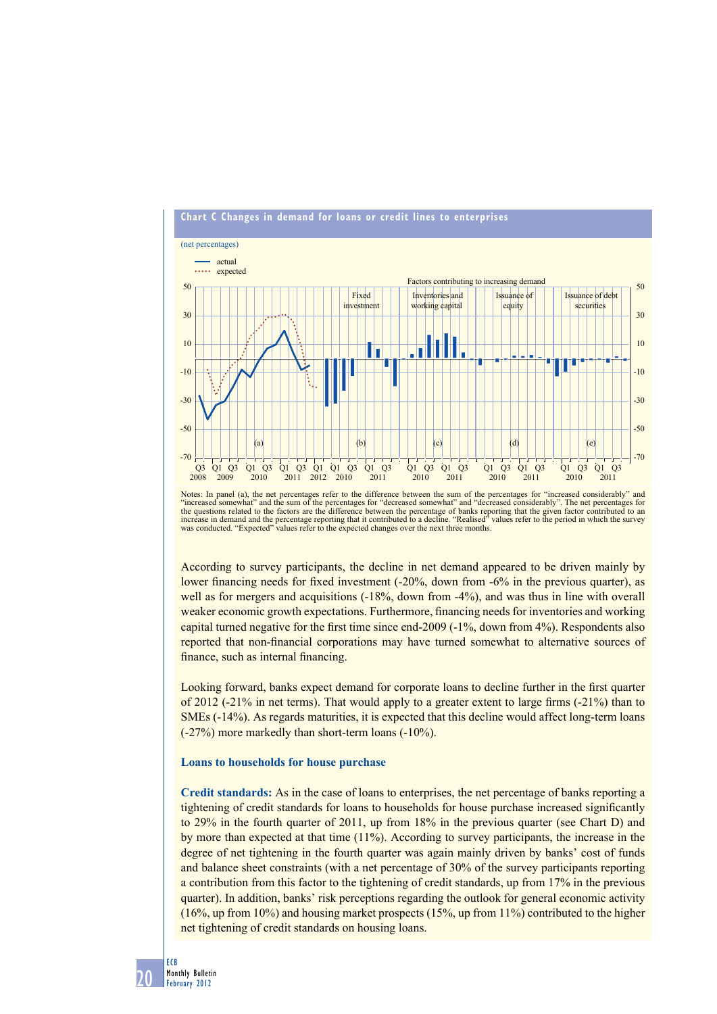

Notes: In panel (a), the net percentages refer to the difference between the sum of the percentages for "increased considerably" and "increased somewhat" and the sum of the percentages for "decreased somewhat" and "decreased considerably". The net percentages for<br>the questions related to the factors are the difference between the percentage of banks rep was conducted. "Expected" values refer to the expected changes over the next three months.

According to survey participants, the decline in net demand appeared to be driven mainly by lower financing needs for fixed investment (-20%, down from -6% in the previous quarter), as well as for mergers and acquisitions (-18%, down from -4%), and was thus in line with overall weaker economic growth expectations. Furthermore, financing needs for inventories and working capital turned negative for the first time since end-2009  $(-1\%$ , down from 4%). Respondents also reported that non-financial corporations may have turned somewhat to alternative sources of finance, such as internal financing.

Looking forward, banks expect demand for corporate loans to decline further in the first quarter of 2012 ( $-21\%$  in net terms). That would apply to a greater extent to large firms  $(-21\%)$  than to SMEs (-14%). As regards maturities, it is expected that this decline would affect long-term loans (-27%) more markedly than short-term loans (-10%).

#### **Loans to households for house purchase**

**Credit standards:** As in the case of loans to enterprises, the net percentage of banks reporting a tightening of credit standards for loans to households for house purchase increased significantly to 29% in the fourth quarter of 2011, up from 18% in the previous quarter (see Chart D) and by more than expected at that time (11%). According to survey participants, the increase in the degree of net tightening in the fourth quarter was again mainly driven by banks' cost of funds and balance sheet constraints (with a net percentage of 30% of the survey participants reporting a contribution from this factor to the tightening of credit standards, up from 17% in the previous quarter). In addition, banks' risk perceptions regarding the outlook for general economic activity (16%, up from 10%) and housing market prospects (15%, up from 11%) contributed to the higher net tightening of credit standards on housing loans.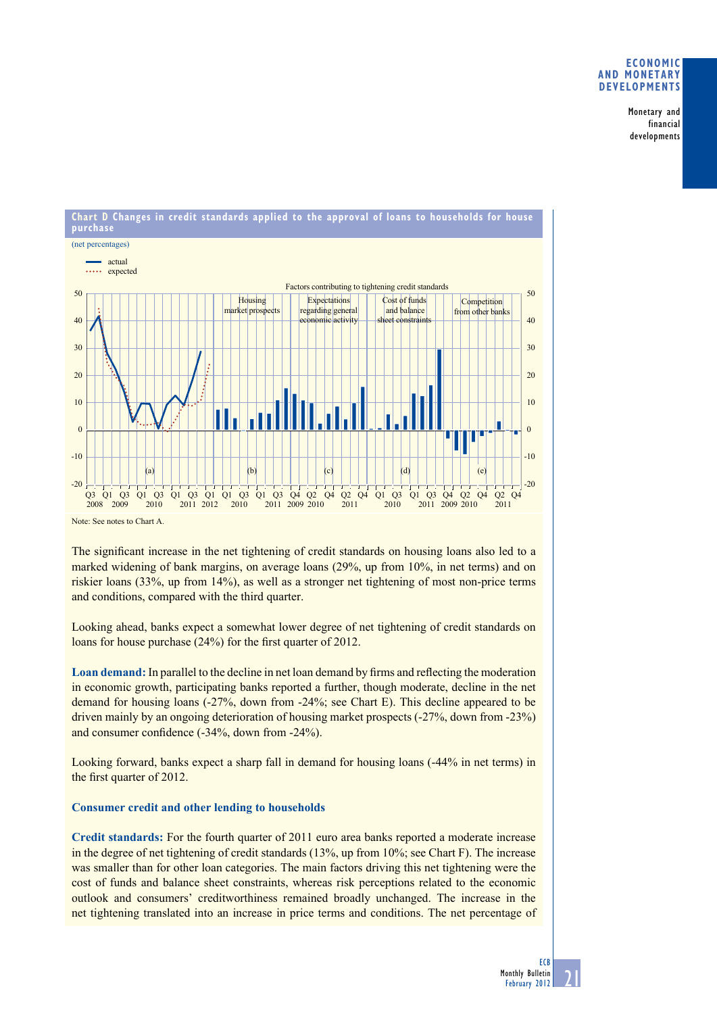Monetary and financial developments



Note: See notes to Chart A.

The significant increase in the net tightening of credit standards on housing loans also led to a marked widening of bank margins, on average loans (29%, up from 10%, in net terms) and on riskier loans (33%, up from 14%), as well as a stronger net tightening of most non-price terms and conditions, compared with the third quarter.

Looking ahead, banks expect a somewhat lower degree of net tightening of credit standards on loans for house purchase  $(24%)$  for the first quarter of 2012.

**Loan demand:** In parallel to the decline in net loan demand by firms and reflecting the moderation in economic growth, participating banks reported a further, though moderate, decline in the net demand for housing loans (-27%, down from -24%; see Chart E). This decline appeared to be driven mainly by an ongoing deterioration of housing market prospects (-27%, down from -23%) and consumer confidence  $(-34\%$ , down from  $-24\%$ ).

Looking forward, banks expect a sharp fall in demand for housing loans (-44% in net terms) in the first quarter of 2012.

# **Consumer credit and other lending to households**

**Credit standards:** For the fourth quarter of 2011 euro area banks reported a moderate increase in the degree of net tightening of credit standards (13%, up from 10%; see Chart F). The increase was smaller than for other loan categories. The main factors driving this net tightening were the cost of funds and balance sheet constraints, whereas risk perceptions related to the economic outlook and consumers' creditworthiness remained broadly unchanged. The increase in the net tightening translated into an increase in price terms and conditions. The net percentage of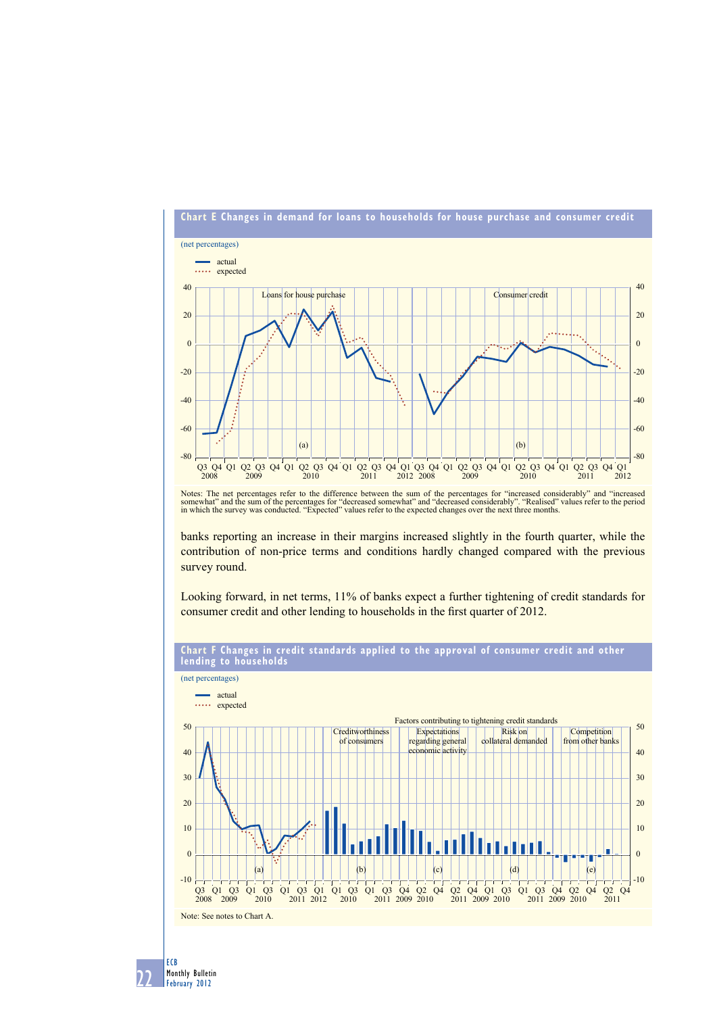

Notes: The net percentages refer to the difference between the sum of the percentages for "increased considerably" and "increased<br>somewhat" and the sum of the percentages for "decreased somewhat" and "decreased considerabl

banks reporting an increase in their margins increased slightly in the fourth quarter, while the contribution of non-price terms and conditions hardly changed compared with the previous survey round.

Looking forward, in net terms, 11% of banks expect a further tightening of credit standards for consumer credit and other lending to households in the first quarter of 2012.



# **Chart F Changes in credit standards applied to the approval of consumer credit and other**

12 ECB Monthly Bulletin February 2012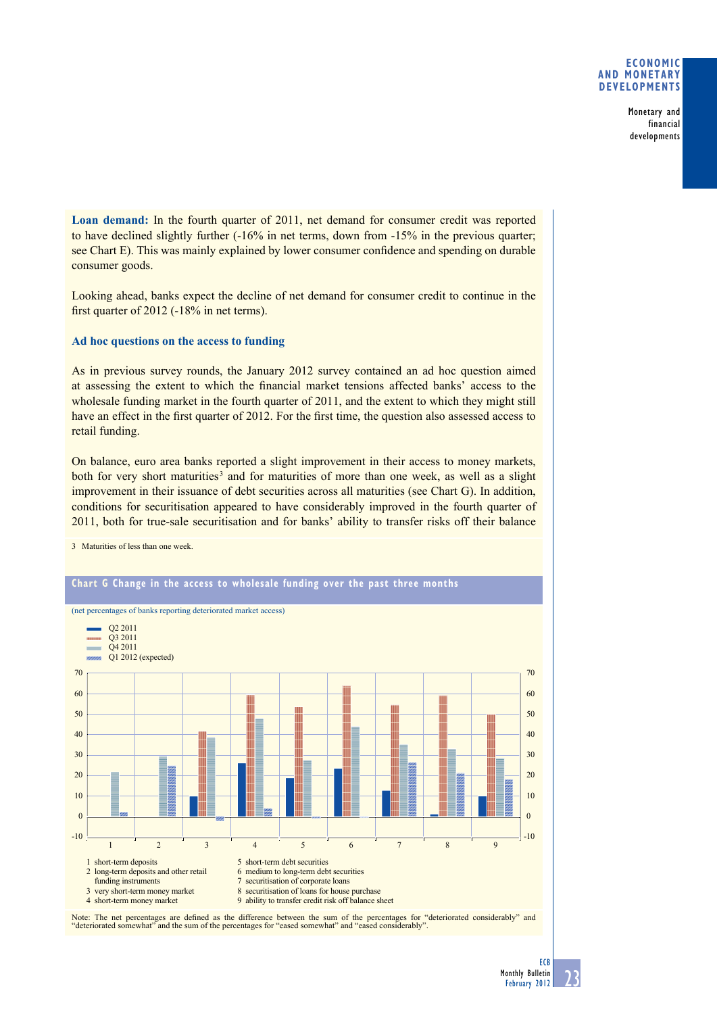Monetary and financial developments

**Loan demand:** In the fourth quarter of 2011, net demand for consumer credit was reported to have declined slightly further (-16% in net terms, down from -15% in the previous quarter; see Chart E). This was mainly explained by lower consumer confidence and spending on durable consumer goods.

Looking ahead, banks expect the decline of net demand for consumer credit to continue in the first quarter of  $2012$  ( $-18\%$  in net terms).

# **Ad hoc questions on the access to funding**

As in previous survey rounds, the January 2012 survey contained an ad hoc question aimed at assessing the extent to which the financial market tensions affected banks' access to the wholesale funding market in the fourth quarter of 2011, and the extent to which they might still have an effect in the first quarter of 2012. For the first time, the question also assessed access to retail funding.

On balance, euro area banks reported a slight improvement in their access to money markets, both for very short maturities<sup>3</sup> and for maturities of more than one week, as well as a slight improvement in their issuance of debt securities across all maturities (see Chart G). In addition, conditions for securitisation appeared to have considerably improved in the fourth quarter of 2011, both for true-sale securitisation and for banks' ability to transfer risks off their balance

3 Maturities of less than one week.



Note: The net percentages are defined as the difference between the sum of the percentages for "deteriorated considerably" and "deteriorated somewhat" and the sum of the percentages for "eased somewhat" and "eased considerably".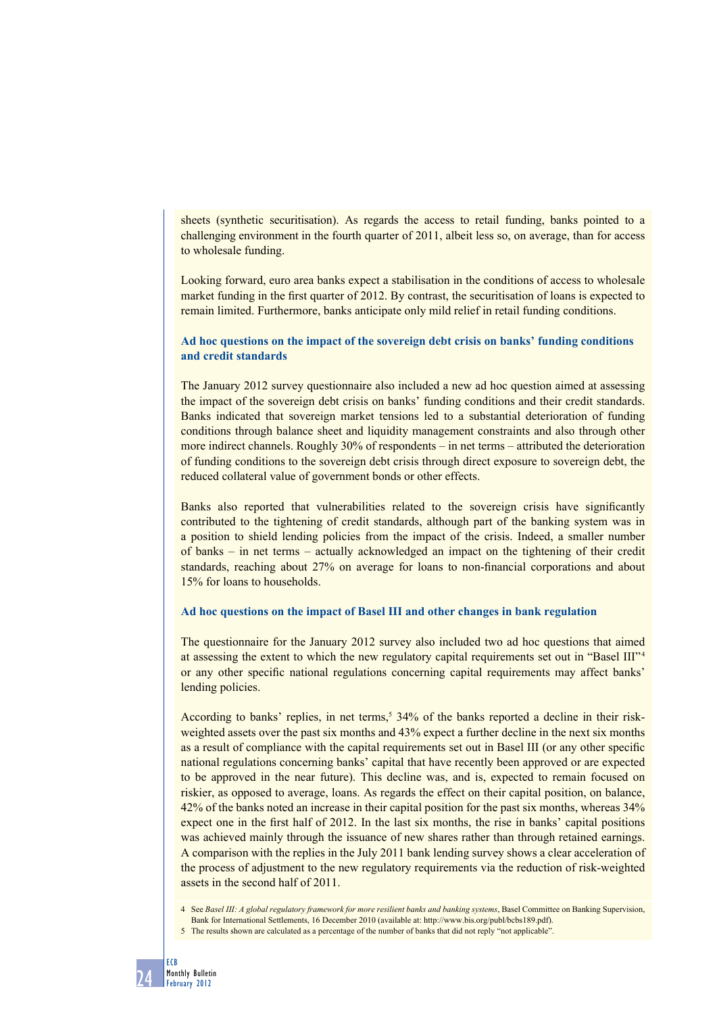sheets (synthetic securitisation). As regards the access to retail funding, banks pointed to a challenging environment in the fourth quarter of 2011, albeit less so, on average, than for access to wholesale funding.

Looking forward, euro area banks expect a stabilisation in the conditions of access to wholesale market funding in the first quarter of 2012. By contrast, the securitisation of loans is expected to remain limited. Furthermore, banks anticipate only mild relief in retail funding conditions.

# **Ad hoc questions on the impact of the sovereign debt crisis on banks' funding conditions and credit standards**

The January 2012 survey questionnaire also included a new ad hoc question aimed at assessing the impact of the sovereign debt crisis on banks' funding conditions and their credit standards. Banks indicated that sovereign market tensions led to a substantial deterioration of funding conditions through balance sheet and liquidity management constraints and also through other more indirect channels. Roughly 30% of respondents – in net terms – attributed the deterioration of funding conditions to the sovereign debt crisis through direct exposure to sovereign debt, the reduced collateral value of government bonds or other effects.

Banks also reported that vulnerabilities related to the sovereign crisis have significantly contributed to the tightening of credit standards, although part of the banking system was in a position to shield lending policies from the impact of the crisis. Indeed, a smaller number of banks – in net terms – actually acknowledged an impact on the tightening of their credit standards, reaching about 27% on average for loans to non-financial corporations and about 15% for loans to households.

# **Ad hoc questions on the impact of Basel III and other changes in bank regulation**

The questionnaire for the January 2012 survey also included two ad hoc questions that aimed at assessing the extent to which the new regulatory capital requirements set out in "Basel III"<sup>4</sup> or any other specific national regulations concerning capital requirements may affect banks' lending policies.

According to banks' replies, in net terms,<sup>5</sup> 34% of the banks reported a decline in their riskweighted assets over the past six months and 43% expect a further decline in the next six months as a result of compliance with the capital requirements set out in Basel III (or any other specific national regulations concerning banks' capital that have recently been approved or are expected to be approved in the near future). This decline was, and is, expected to remain focused on riskier, as opposed to average, loans. As regards the effect on their capital position, on balance, 42% of the banks noted an increase in their capital position for the past six months, whereas 34% expect one in the first half of 2012. In the last six months, the rise in banks' capital positions was achieved mainly through the issuance of new shares rather than through retained earnings. A comparison with the replies in the July 2011 bank lending survey shows a clear acceleration of the process of adjustment to the new regulatory requirements via the reduction of risk-weighted assets in the second half of 2011.

4 See *Basel III: A global regulatory framework for more resilient banks and banking systems*, Basel Committee on Banking Supervision, Bank for International Settlements, 16 December 2010 (available at: http://www.bis.org/publ/bcbs189.pdf).

<sup>5</sup> The results shown are calculated as a percentage of the number of banks that did not reply "not applicable".